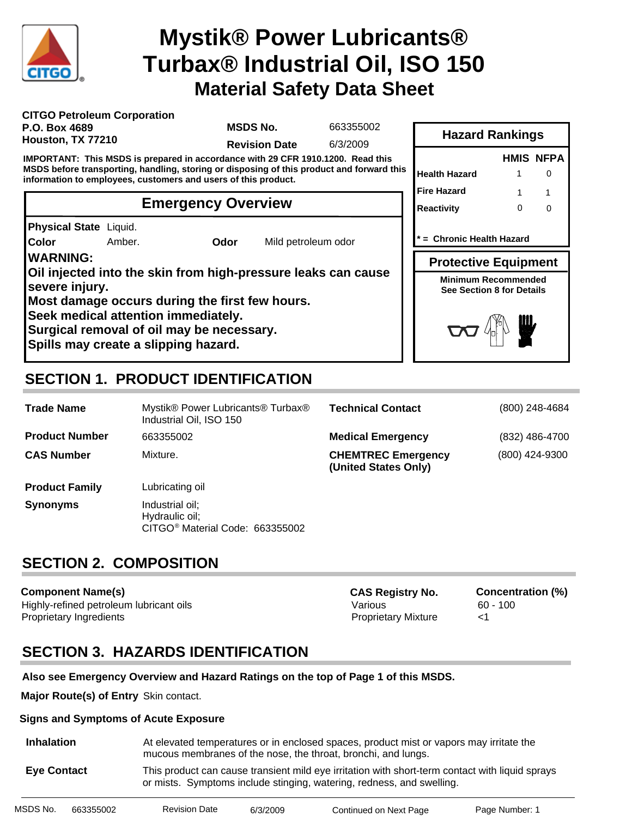

# **Material Safety Data Sheet Mystik® Power Lubricants® Turbax® Industrial Oil, ISO 150**

| <b>CITGO Petroleum Corporation</b> |  |
|------------------------------------|--|
| P.O. Box 4689                      |  |
| Houston, TX 77210                  |  |

**MSDS No.**

663355002

**Revision Date** 6/3/2009

**IMPORTANT: This MSDS is prepared in accordance with 29 CFR 1910.1200. Read this MSDS before transporting, handling, storing or disposing of this product and forward this information to employees, customers and users of this product.**

#### **Emergency Overview**

**Physical State** Liquid.

**Color**

Amber. **Odor** Mild petroleum odor

**WARNING:**

**Oil injected into the skin from high-pressure leaks can cause severe injury.**

**Most damage occurs during the first few hours.**

**Seek medical attention immediately.**

**Surgical removal of oil may be necessary.**

**Spills may create a slipping hazard.**

## **SECTION 1. PRODUCT IDENTIFICATION**

| <b>Trade Name</b>     | Mystik® Power Lubricants® Turbax®<br>Industrial Oil, ISO 150                     | <b>Technical Contact</b>                          | (800) 248-4684 |
|-----------------------|----------------------------------------------------------------------------------|---------------------------------------------------|----------------|
| <b>Product Number</b> | 663355002                                                                        | <b>Medical Emergency</b>                          | (832) 486-4700 |
| <b>CAS Number</b>     | Mixture.                                                                         | <b>CHEMTREC Emergency</b><br>(United States Only) | (800) 424-9300 |
| <b>Product Family</b> | Lubricating oil                                                                  |                                                   |                |
| <b>Synonyms</b>       | Industrial oil;<br>Hydraulic oil;<br>CITGO <sup>®</sup> Material Code: 663355002 |                                                   |                |

### **SECTION 2. COMPOSITION**

**Component Name(s)** Highly-refined petroleum lubricant oils **Various** Various 60 - 100 Proprietary Ingredients Proprietary Mixture <1

**CAS Registry No. Concentration (%)**

# **SECTION 3. HAZARDS IDENTIFICATION**

#### **Also see Emergency Overview and Hazard Ratings on the top of Page 1 of this MSDS.**

**Major Route(s) of Entry** Skin contact.

#### **Signs and Symptoms of Acute Exposure**

| <b>Inhalation</b>  | At elevated temperatures or in enclosed spaces, product mist or vapors may irritate the<br>mucous membranes of the nose, the throat, bronchi, and lungs.                 |
|--------------------|--------------------------------------------------------------------------------------------------------------------------------------------------------------------------|
| <b>Eve Contact</b> | This product can cause transient mild eye irritation with short-term contact with liquid sprays<br>or mists. Symptoms include stinging, watering, redness, and swelling. |

| MSDS No. | 663355002 | <b>Revision Date</b> | 6/3/2009 | Continued on Next Page | Page Number: 1 |
|----------|-----------|----------------------|----------|------------------------|----------------|

|                                                                |   | <b>HMIS NFPA</b> |
|----------------------------------------------------------------|---|------------------|
| Health Hazard                                                  |   |                  |
| Fire Hazard                                                    | 1 |                  |
| Reactivity                                                     | ∩ |                  |
| = Chronic Health Hazard                                        |   |                  |
|                                                                |   |                  |
| <b>Protective Equipment</b>                                    |   |                  |
| <b>Minimum Recommended</b><br><b>See Section 8 for Details</b> |   |                  |

**Hazard Rankings**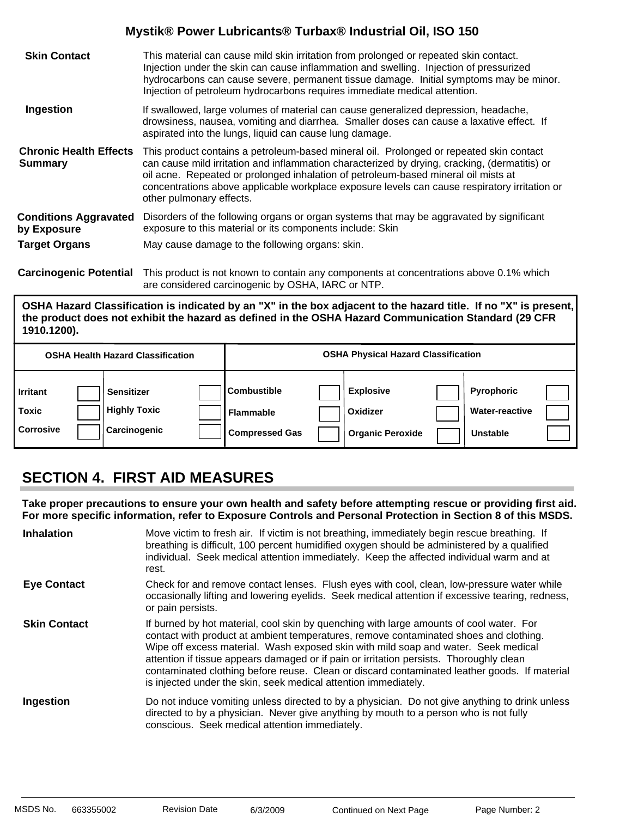| <b>Skin Contact</b>                             | This material can cause mild skin irritation from prolonged or repeated skin contact.<br>Injection under the skin can cause inflammation and swelling. Injection of pressurized<br>hydrocarbons can cause severe, permanent tissue damage. Initial symptoms may be minor.<br>Injection of petroleum hydrocarbons requires immediate medical attention.                                                      |
|-------------------------------------------------|-------------------------------------------------------------------------------------------------------------------------------------------------------------------------------------------------------------------------------------------------------------------------------------------------------------------------------------------------------------------------------------------------------------|
| Ingestion                                       | If swallowed, large volumes of material can cause generalized depression, headache,<br>drowsiness, nausea, vomiting and diarrhea. Smaller doses can cause a laxative effect. If<br>aspirated into the lungs, liquid can cause lung damage.                                                                                                                                                                  |
| <b>Chronic Health Effects</b><br><b>Summary</b> | This product contains a petroleum-based mineral oil. Prolonged or repeated skin contact<br>can cause mild irritation and inflammation characterized by drying, cracking, (dermatitis) or<br>oil acne. Repeated or prolonged inhalation of petroleum-based mineral oil mists at<br>concentrations above applicable workplace exposure levels can cause respiratory irritation or<br>other pulmonary effects. |
| <b>Conditions Aggravated</b><br>by Exposure     | Disorders of the following organs or organ systems that may be aggravated by significant<br>exposure to this material or its components include: Skin                                                                                                                                                                                                                                                       |
| <b>Target Organs</b>                            | May cause damage to the following organs: skin.                                                                                                                                                                                                                                                                                                                                                             |
|                                                 |                                                                                                                                                                                                                                                                                                                                                                                                             |

**Carcinogenic Potential** This product is not known to contain any components at concentrations above 0.1% which are considered carcinogenic by OSHA, IARC or NTP.

**OSHA Hazard Classification is indicated by an "X" in the box adjacent to the hazard title. If no "X" is present, the product does not exhibit the hazard as defined in the OSHA Hazard Communication Standard (29 CFR 1910.1200).**

|                                              | <b>OSHA Health Hazard Classification</b>                 |                                                                 | <b>OSHA Physical Hazard Classification</b>              |                                                        |  |
|----------------------------------------------|----------------------------------------------------------|-----------------------------------------------------------------|---------------------------------------------------------|--------------------------------------------------------|--|
| <b>Irritant</b><br>Toxic<br><b>Corrosive</b> | <b>Sensitizer</b><br><b>Highly Toxic</b><br>Carcinogenic | <b>Combustible</b><br><b>Flammable</b><br><b>Compressed Gas</b> | <b>Explosive</b><br>Oxidizer<br><b>Organic Peroxide</b> | <b>Pyrophoric</b><br><b>Water-reactive</b><br>Unstable |  |

### **SECTION 4. FIRST AID MEASURES**

**Take proper precautions to ensure your own health and safety before attempting rescue or providing first aid. For more specific information, refer to Exposure Controls and Personal Protection in Section 8 of this MSDS.**

| <b>Inhalation</b>   | Move victim to fresh air. If victim is not breathing, immediately begin rescue breathing. If<br>breathing is difficult, 100 percent humidified oxygen should be administered by a qualified<br>individual. Seek medical attention immediately. Keep the affected individual warm and at<br>rest.                                                                                                                                                                                                                                     |
|---------------------|--------------------------------------------------------------------------------------------------------------------------------------------------------------------------------------------------------------------------------------------------------------------------------------------------------------------------------------------------------------------------------------------------------------------------------------------------------------------------------------------------------------------------------------|
| <b>Eye Contact</b>  | Check for and remove contact lenses. Flush eyes with cool, clean, low-pressure water while<br>occasionally lifting and lowering eyelids. Seek medical attention if excessive tearing, redness,<br>or pain persists.                                                                                                                                                                                                                                                                                                                  |
| <b>Skin Contact</b> | If burned by hot material, cool skin by quenching with large amounts of cool water. For<br>contact with product at ambient temperatures, remove contaminated shoes and clothing.<br>Wipe off excess material. Wash exposed skin with mild soap and water. Seek medical<br>attention if tissue appears damaged or if pain or irritation persists. Thoroughly clean<br>contaminated clothing before reuse. Clean or discard contaminated leather goods. If material<br>is injected under the skin, seek medical attention immediately. |
| Ingestion           | Do not induce vomiting unless directed to by a physician. Do not give anything to drink unless<br>directed to by a physician. Never give anything by mouth to a person who is not fully<br>conscious. Seek medical attention immediately.                                                                                                                                                                                                                                                                                            |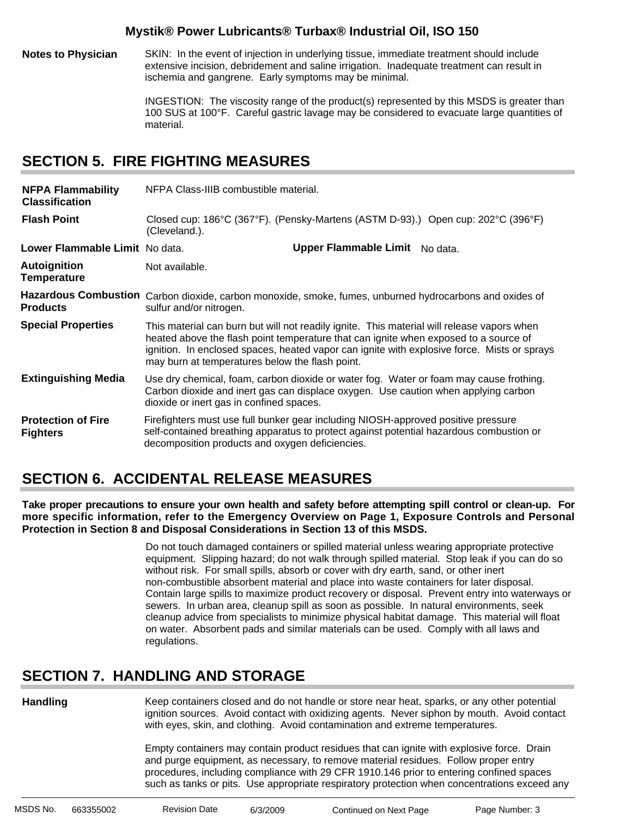**Notes to Physician** SKIN: In the event of injection in underlying tissue, immediate treatment should include extensive incision, debridement and saline irrigation. Inadequate treatment can result in ischemia and gangrene. Early symptoms may be minimal.

> INGESTION: The viscosity range of the product(s) represented by this MSDS is greater than 100 SUS at 100°F. Careful gastric lavage may be considered to evacuate large quantities of material.

### **SECTION 5. FIRE FIGHTING MEASURES**

| <b>NFPA Flammability</b><br><b>Classification</b> | NFPA Class-IIIB combustible material.                                                                                                                                                                                                                                                                                                |  |  |  |  |  |
|---------------------------------------------------|--------------------------------------------------------------------------------------------------------------------------------------------------------------------------------------------------------------------------------------------------------------------------------------------------------------------------------------|--|--|--|--|--|
| <b>Flash Point</b>                                | Closed cup: 186°C (367°F). (Pensky-Martens (ASTM D-93).) Open cup: 202°C (396°F)<br>(Cleveland.).                                                                                                                                                                                                                                    |  |  |  |  |  |
| Lower Flammable Limit No data.                    | Upper Flammable Limit No data.                                                                                                                                                                                                                                                                                                       |  |  |  |  |  |
| <b>Autoignition</b><br><b>Temperature</b>         | Not available.                                                                                                                                                                                                                                                                                                                       |  |  |  |  |  |
| <b>Products</b>                                   | Hazardous Combustion Carbon dioxide, carbon monoxide, smoke, fumes, unburned hydrocarbons and oxides of<br>sulfur and/or nitrogen.                                                                                                                                                                                                   |  |  |  |  |  |
| <b>Special Properties</b>                         | This material can burn but will not readily ignite. This material will release vapors when<br>heated above the flash point temperature that can ignite when exposed to a source of<br>ignition. In enclosed spaces, heated vapor can ignite with explosive force. Mists or sprays<br>may burn at temperatures below the flash point. |  |  |  |  |  |
| <b>Extinguishing Media</b>                        | Use dry chemical, foam, carbon dioxide or water fog. Water or foam may cause frothing.<br>Carbon dioxide and inert gas can displace oxygen. Use caution when applying carbon<br>dioxide or inert gas in confined spaces.                                                                                                             |  |  |  |  |  |
| <b>Protection of Fire</b><br><b>Fighters</b>      | Firefighters must use full bunker gear including NIOSH-approved positive pressure<br>self-contained breathing apparatus to protect against potential hazardous combustion or<br>decomposition products and oxygen deficiencies.                                                                                                      |  |  |  |  |  |

### **SECTION 6. ACCIDENTAL RELEASE MEASURES**

**Take proper precautions to ensure your own health and safety before attempting spill control or clean-up. For more specific information, refer to the Emergency Overview on Page 1, Exposure Controls and Personal Protection in Section 8 and Disposal Considerations in Section 13 of this MSDS.**

> Do not touch damaged containers or spilled material unless wearing appropriate protective equipment. Slipping hazard; do not walk through spilled material. Stop leak if you can do so without risk. For small spills, absorb or cover with dry earth, sand, or other inert non-combustible absorbent material and place into waste containers for later disposal. Contain large spills to maximize product recovery or disposal. Prevent entry into waterways or sewers. In urban area, cleanup spill as soon as possible. In natural environments, seek cleanup advice from specialists to minimize physical habitat damage. This material will float on water. Absorbent pads and similar materials can be used. Comply with all laws and regulations.

#### **SECTION 7. HANDLING AND STORAGE**

**Handling**

Keep containers closed and do not handle or store near heat, sparks, or any other potential ignition sources. Avoid contact with oxidizing agents. Never siphon by mouth. Avoid contact with eyes, skin, and clothing. Avoid contamination and extreme temperatures.

Empty containers may contain product residues that can ignite with explosive force. Drain and purge equipment, as necessary, to remove material residues. Follow proper entry procedures, including compliance with 29 CFR 1910.146 prior to entering confined spaces such as tanks or pits. Use appropriate respiratory protection when concentrations exceed any

| MSDS No. | 663355002 | Revision Date | 6/3/2009 | Continued on Next Page | Page Number: 3 |
|----------|-----------|---------------|----------|------------------------|----------------|
|          |           |               |          |                        |                |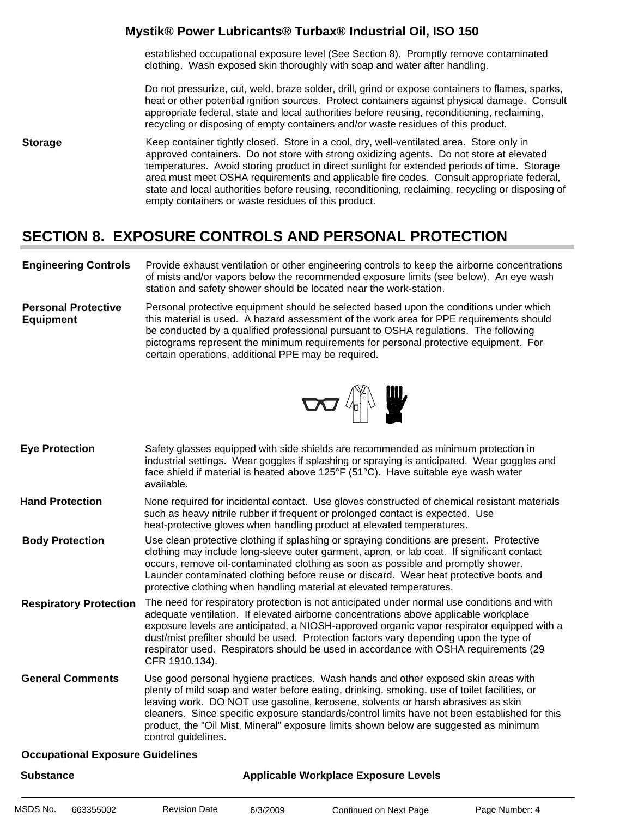established occupational exposure level (See Section 8). Promptly remove contaminated clothing. Wash exposed skin thoroughly with soap and water after handling.

Do not pressurize, cut, weld, braze solder, drill, grind or expose containers to flames, sparks, heat or other potential ignition sources. Protect containers against physical damage. Consult appropriate federal, state and local authorities before reusing, reconditioning, reclaiming, recycling or disposing of empty containers and/or waste residues of this product.

**Storage** Keep container tightly closed. Store in a cool, dry, well-ventilated area. Store only in approved containers. Do not store with strong oxidizing agents. Do not store at elevated temperatures. Avoid storing product in direct sunlight for extended periods of time. Storage area must meet OSHA requirements and applicable fire codes. Consult appropriate federal, state and local authorities before reusing, reconditioning, reclaiming, recycling or disposing of empty containers or waste residues of this product.

#### **SECTION 8. EXPOSURE CONTROLS AND PERSONAL PROTECTION**

- **Engineering Controls** Provide exhaust ventilation or other engineering controls to keep the airborne concentrations of mists and/or vapors below the recommended exposure limits (see below). An eye wash station and safety shower should be located near the work-station.
- **Personal Protective Equipment** Personal protective equipment should be selected based upon the conditions under which this material is used. A hazard assessment of the work area for PPE requirements should be conducted by a qualified professional pursuant to OSHA regulations. The following pictograms represent the minimum requirements for personal protective equipment. For certain operations, additional PPE may be required.



- Safety glasses equipped with side shields are recommended as minimum protection in industrial settings. Wear goggles if splashing or spraying is anticipated. Wear goggles and face shield if material is heated above 125°F (51°C). Have suitable eye wash water available. **Eye Protection**
- None required for incidental contact. Use gloves constructed of chemical resistant materials such as heavy nitrile rubber if frequent or prolonged contact is expected. Use heat-protective gloves when handling product at elevated temperatures. **Hand Protection**
- Use clean protective clothing if splashing or spraying conditions are present. Protective clothing may include long-sleeve outer garment, apron, or lab coat. If significant contact occurs, remove oil-contaminated clothing as soon as possible and promptly shower. Launder contaminated clothing before reuse or discard. Wear heat protective boots and protective clothing when handling material at elevated temperatures. **Body Protection**
- The need for respiratory protection is not anticipated under normal use conditions and with adequate ventilation. If elevated airborne concentrations above applicable workplace exposure levels are anticipated, a NIOSH-approved organic vapor respirator equipped with a dust/mist prefilter should be used. Protection factors vary depending upon the type of respirator used. Respirators should be used in accordance with OSHA requirements (29 CFR 1910.134). **Respiratory Protection**
- Use good personal hygiene practices. Wash hands and other exposed skin areas with plenty of mild soap and water before eating, drinking, smoking, use of toilet facilities, or leaving work. DO NOT use gasoline, kerosene, solvents or harsh abrasives as skin cleaners. Since specific exposure standards/control limits have not been established for this product, the "Oil Mist, Mineral" exposure limits shown below are suggested as minimum control guidelines. **General Comments**

#### **Occupational Exposure Guidelines**

| <b>Substance</b> |           |                      | Applicable Workplace Exposure Levels |                        |                |  |  |
|------------------|-----------|----------------------|--------------------------------------|------------------------|----------------|--|--|
| MSDS No.         | 663355002 | <b>Revision Date</b> | 6/3/2009                             | Continued on Next Page | Page Number: 4 |  |  |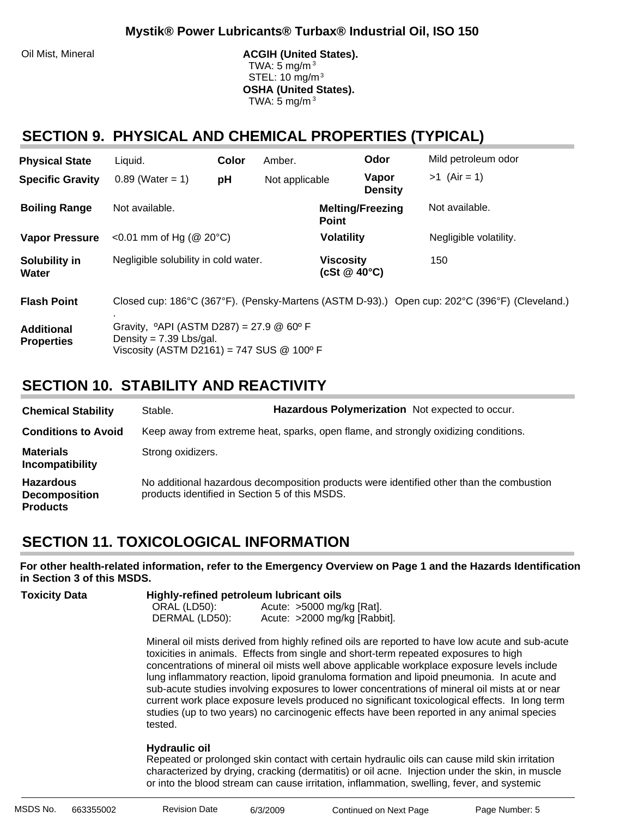Oil Mist, Mineral **ACGIH (United States).** ACGIH (United States). TWA: 5 mg/m $3$  STEL: 10 mg/m3 **OSHA (United States).** TWA:  $5 \text{ mg/m}^3$ 

#### **SECTION 9. PHYSICAL AND CHEMICAL PROPERTIES (TYPICAL)**

| <b>Physical State</b>                  | Liquid.                                                                                                                                            | Color | Amber.         |                                        | Odor                    | Mild petroleum odor                                                                           |
|----------------------------------------|----------------------------------------------------------------------------------------------------------------------------------------------------|-------|----------------|----------------------------------------|-------------------------|-----------------------------------------------------------------------------------------------|
| <b>Specific Gravity</b>                | $0.89$ (Water = 1)                                                                                                                                 | pH    | Not applicable |                                        | Vapor<br><b>Density</b> | $>1$ (Air = 1)                                                                                |
| <b>Boiling Range</b>                   | Not available.                                                                                                                                     |       |                | <b>Point</b>                           | <b>Melting/Freezing</b> | Not available.                                                                                |
| <b>Vapor Pressure</b>                  | <0.01 mm of Hg ( $@$ 20 $°C$ )                                                                                                                     |       |                | <b>Volatility</b>                      |                         | Negligible volatility.                                                                        |
| Solubility in<br>Water                 | Negligible solubility in cold water.                                                                                                               |       |                | <b>Viscosity</b><br>(cSt $@$ 40 $°C$ ) |                         | 150                                                                                           |
| <b>Flash Point</b>                     |                                                                                                                                                    |       |                |                                        |                         | Closed cup: 186°C (367°F). (Pensky-Martens (ASTM D-93).) Open cup: 202°C (396°F) (Cleveland.) |
| <b>Additional</b><br><b>Properties</b> | Gravity, $^{\circ}$ API (ASTM D287) = 27.9 @ 60 $^{\circ}$ F<br>Density = $7.39$ Lbs/gal.<br>Viscosity (ASTM D2161) = 747 SUS $@$ 100 $^{\circ}$ F |       |                |                                        |                         |                                                                                               |

### **SECTION 10. STABILITY AND REACTIVITY**

| <b>Chemical Stability</b>                                   | Stable.                                        | Hazardous Polymerization Not expected to occur.                                          |  |
|-------------------------------------------------------------|------------------------------------------------|------------------------------------------------------------------------------------------|--|
| <b>Conditions to Avoid</b>                                  |                                                | Keep away from extreme heat, sparks, open flame, and strongly oxidizing conditions.      |  |
| <b>Materials</b><br>Incompatibility                         | Strong oxidizers.                              |                                                                                          |  |
| <b>Hazardous</b><br><b>Decomposition</b><br><b>Products</b> | products identified in Section 5 of this MSDS. | No additional hazardous decomposition products were identified other than the combustion |  |

### **SECTION 11. TOXICOLOGICAL INFORMATION**

**For other health-related information, refer to the Emergency Overview on Page 1 and the Hazards Identification in Section 3 of this MSDS.**

| Toxicity Data | Highly-refined petroleum lubricant oils |                              |  |  |
|---------------|-----------------------------------------|------------------------------|--|--|
|               | ORAL (LD50):                            | Acute: $>5000$ mg/kg [Rat].  |  |  |
|               | DERMAL (LD50):                          | Acute: >2000 mg/kg [Rabbit]. |  |  |

Mineral oil mists derived from highly refined oils are reported to have low acute and sub-acute toxicities in animals. Effects from single and short-term repeated exposures to high concentrations of mineral oil mists well above applicable workplace exposure levels include lung inflammatory reaction, lipoid granuloma formation and lipoid pneumonia. In acute and sub-acute studies involving exposures to lower concentrations of mineral oil mists at or near current work place exposure levels produced no significant toxicological effects. In long term studies (up to two years) no carcinogenic effects have been reported in any animal species tested.

#### **Hydraulic oil**:

Repeated or prolonged skin contact with certain hydraulic oils can cause mild skin irritation characterized by drying, cracking (dermatitis) or oil acne. Injection under the skin, in muscle or into the blood stream can cause irritation, inflammation, swelling, fever, and systemic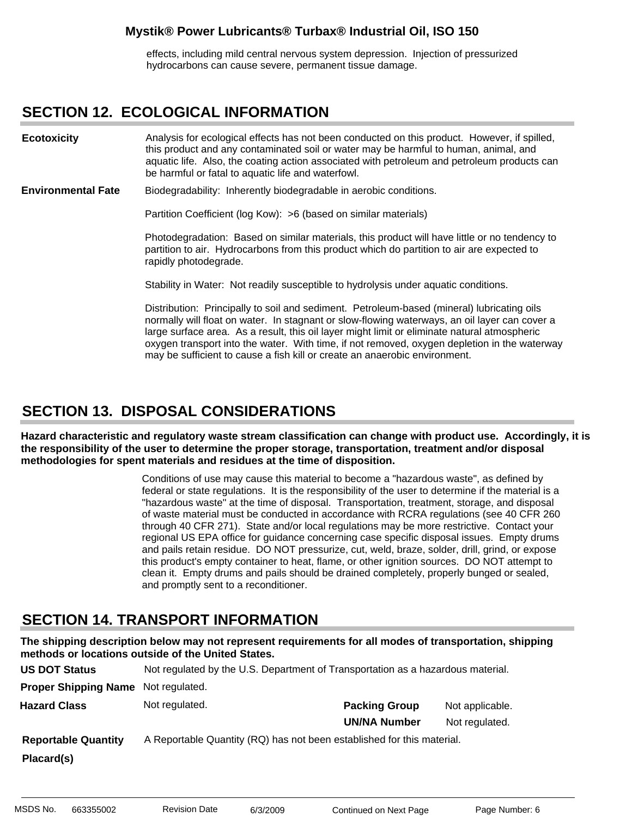effects, including mild central nervous system depression. Injection of pressurized hydrocarbons can cause severe, permanent tissue damage.

#### **SECTION 12. ECOLOGICAL INFORMATION**

Analysis for ecological effects has not been conducted on this product. However, if spilled, this product and any contaminated soil or water may be harmful to human, animal, and aquatic life. Also, the coating action associated with petroleum and petroleum products can be harmful or fatal to aquatic life and waterfowl. **Ecotoxicity**

Biodegradability: Inherently biodegradable in aerobic conditions. **Environmental Fate**

Partition Coefficient (log Kow): >6 (based on similar materials)

Photodegradation: Based on similar materials, this product will have little or no tendency to partition to air. Hydrocarbons from this product which do partition to air are expected to rapidly photodegrade.

Stability in Water: Not readily susceptible to hydrolysis under aquatic conditions.

Distribution: Principally to soil and sediment. Petroleum-based (mineral) lubricating oils normally will float on water. In stagnant or slow-flowing waterways, an oil layer can cover a large surface area. As a result, this oil layer might limit or eliminate natural atmospheric oxygen transport into the water. With time, if not removed, oxygen depletion in the waterway may be sufficient to cause a fish kill or create an anaerobic environment.

### **SECTION 13. DISPOSAL CONSIDERATIONS**

**Hazard characteristic and regulatory waste stream classification can change with product use. Accordingly, it is the responsibility of the user to determine the proper storage, transportation, treatment and/or disposal methodologies for spent materials and residues at the time of disposition.**

> Conditions of use may cause this material to become a "hazardous waste", as defined by federal or state regulations. It is the responsibility of the user to determine if the material is a "hazardous waste" at the time of disposal. Transportation, treatment, storage, and disposal of waste material must be conducted in accordance with RCRA regulations (see 40 CFR 260 through 40 CFR 271). State and/or local regulations may be more restrictive. Contact your regional US EPA office for guidance concerning case specific disposal issues. Empty drums and pails retain residue. DO NOT pressurize, cut, weld, braze, solder, drill, grind, or expose this product's empty container to heat, flame, or other ignition sources. DO NOT attempt to clean it. Empty drums and pails should be drained completely, properly bunged or sealed, and promptly sent to a reconditioner.

### **SECTION 14. TRANSPORT INFORMATION**

**The shipping description below may not represent requirements for all modes of transportation, shipping methods or locations outside of the United States.**

| <b>US DOT Status</b>        | Not regulated by the U.S. Department of Transportation as a hazardous material. |                      |                 |
|-----------------------------|---------------------------------------------------------------------------------|----------------------|-----------------|
| <b>Proper Shipping Name</b> | Not regulated.                                                                  |                      |                 |
| <b>Hazard Class</b>         | Not regulated.                                                                  | <b>Packing Group</b> | Not applicable. |
|                             |                                                                                 | <b>UN/NA Number</b>  | Not regulated.  |
| <b>Reportable Quantity</b>  | A Reportable Quantity (RQ) has not been established for this material.          |                      |                 |
| Placard(s)                  |                                                                                 |                      |                 |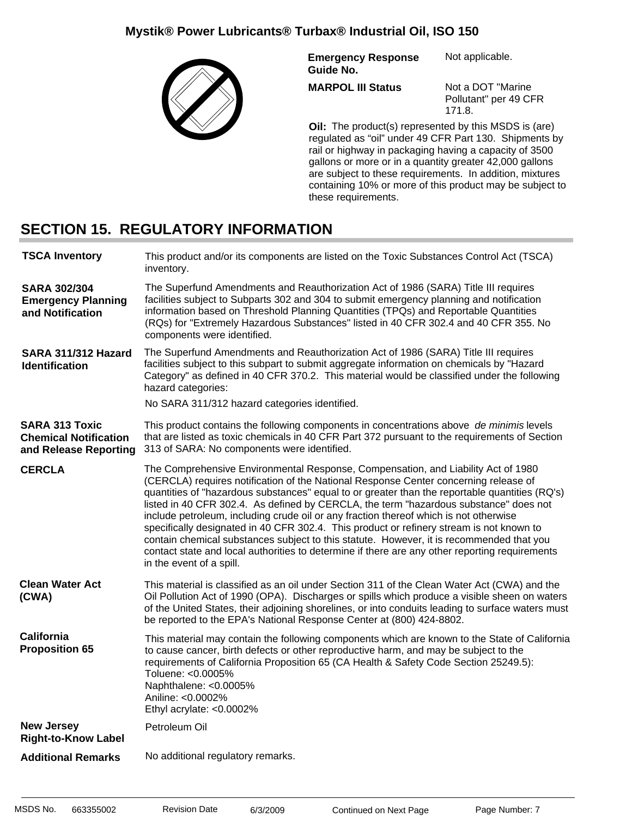

**Emergency Response Guide No.** Not applicable.

**MARPOL III Status**

Not a DOT "Marine Pollutant" per 49 CFR 171.8.

**Oil:** The product(s) represented by this MSDS is (are) regulated as "oil" under 49 CFR Part 130. Shipments by rail or highway in packaging having a capacity of 3500 gallons or more or in a quantity greater 42,000 gallons are subject to these requirements. In addition, mixtures containing 10% or more of this product may be subject to these requirements.

### **SECTION 15. REGULATORY INFORMATION**

| <b>TSCA Inventory</b>                                                          | This product and/or its components are listed on the Toxic Substances Control Act (TSCA)<br>inventory.                                                                                                                                                                                                                                                                                                                                                                                                                                                                                                                                                                                                                                                                              |  |
|--------------------------------------------------------------------------------|-------------------------------------------------------------------------------------------------------------------------------------------------------------------------------------------------------------------------------------------------------------------------------------------------------------------------------------------------------------------------------------------------------------------------------------------------------------------------------------------------------------------------------------------------------------------------------------------------------------------------------------------------------------------------------------------------------------------------------------------------------------------------------------|--|
| <b>SARA 302/304</b><br><b>Emergency Planning</b><br>and Notification           | The Superfund Amendments and Reauthorization Act of 1986 (SARA) Title III requires<br>facilities subject to Subparts 302 and 304 to submit emergency planning and notification<br>information based on Threshold Planning Quantities (TPQs) and Reportable Quantities<br>(RQs) for "Extremely Hazardous Substances" listed in 40 CFR 302.4 and 40 CFR 355. No<br>components were identified.                                                                                                                                                                                                                                                                                                                                                                                        |  |
| SARA 311/312 Hazard<br><b>Identification</b>                                   | The Superfund Amendments and Reauthorization Act of 1986 (SARA) Title III requires<br>facilities subject to this subpart to submit aggregate information on chemicals by "Hazard<br>Category" as defined in 40 CFR 370.2. This material would be classified under the following<br>hazard categories:                                                                                                                                                                                                                                                                                                                                                                                                                                                                               |  |
|                                                                                | No SARA 311/312 hazard categories identified.                                                                                                                                                                                                                                                                                                                                                                                                                                                                                                                                                                                                                                                                                                                                       |  |
| <b>SARA 313 Toxic</b><br><b>Chemical Notification</b><br>and Release Reporting | This product contains the following components in concentrations above de minimis levels<br>that are listed as toxic chemicals in 40 CFR Part 372 pursuant to the requirements of Section<br>313 of SARA: No components were identified.                                                                                                                                                                                                                                                                                                                                                                                                                                                                                                                                            |  |
| <b>CERCLA</b>                                                                  | The Comprehensive Environmental Response, Compensation, and Liability Act of 1980<br>(CERCLA) requires notification of the National Response Center concerning release of<br>quantities of "hazardous substances" equal to or greater than the reportable quantities (RQ's)<br>listed in 40 CFR 302.4. As defined by CERCLA, the term "hazardous substance" does not<br>include petroleum, including crude oil or any fraction thereof which is not otherwise<br>specifically designated in 40 CFR 302.4. This product or refinery stream is not known to<br>contain chemical substances subject to this statute. However, it is recommended that you<br>contact state and local authorities to determine if there are any other reporting requirements<br>in the event of a spill. |  |
| <b>Clean Water Act</b><br>(CWA)                                                | This material is classified as an oil under Section 311 of the Clean Water Act (CWA) and the<br>Oil Pollution Act of 1990 (OPA). Discharges or spills which produce a visible sheen on waters<br>of the United States, their adjoining shorelines, or into conduits leading to surface waters must<br>be reported to the EPA's National Response Center at (800) 424-8802.                                                                                                                                                                                                                                                                                                                                                                                                          |  |
| <b>California</b><br><b>Proposition 65</b>                                     | This material may contain the following components which are known to the State of California<br>to cause cancer, birth defects or other reproductive harm, and may be subject to the<br>requirements of California Proposition 65 (CA Health & Safety Code Section 25249.5):<br>Toluene: <0.0005%<br>Naphthalene: <0.0005%<br>Aniline: <0.0002%<br>Ethyl acrylate: <0.0002%                                                                                                                                                                                                                                                                                                                                                                                                        |  |
| <b>New Jersey</b><br><b>Right-to-Know Label</b>                                | Petroleum Oil                                                                                                                                                                                                                                                                                                                                                                                                                                                                                                                                                                                                                                                                                                                                                                       |  |
| <b>Additional Remarks</b>                                                      | No additional regulatory remarks.                                                                                                                                                                                                                                                                                                                                                                                                                                                                                                                                                                                                                                                                                                                                                   |  |